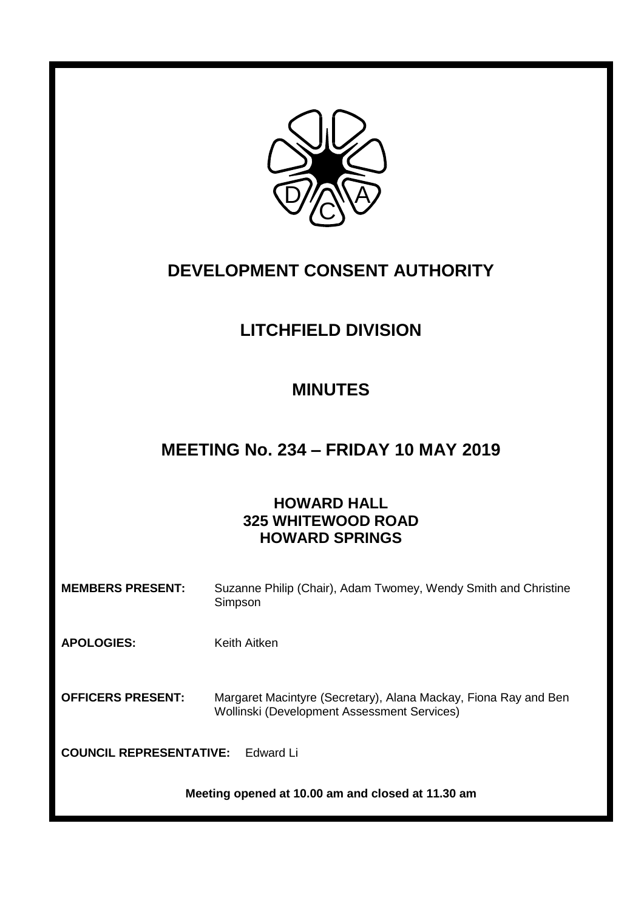

## **DEVELOPMENT CONSENT AUTHORITY**

# **LITCHFIELD DIVISION**

# **MINUTES**

## **MEETING No. 234 – FRIDAY 10 MAY 2019**

### **HOWARD HALL 325 WHITEWOOD ROAD HOWARD SPRINGS**

| <b>MEMBERS PRESENT:</b>                           | Suzanne Philip (Chair), Adam Twomey, Wendy Smith and Christine<br>Simpson                                      |  |
|---------------------------------------------------|----------------------------------------------------------------------------------------------------------------|--|
| <b>APOLOGIES:</b>                                 | Keith Aitken                                                                                                   |  |
| <b>OFFICERS PRESENT:</b>                          | Margaret Macintyre (Secretary), Alana Mackay, Fiona Ray and Ben<br>Wollinski (Development Assessment Services) |  |
| <b>COUNCIL REPRESENTATIVE:</b><br>Edward Li       |                                                                                                                |  |
| Meeting opened at 10.00 am and closed at 11.30 am |                                                                                                                |  |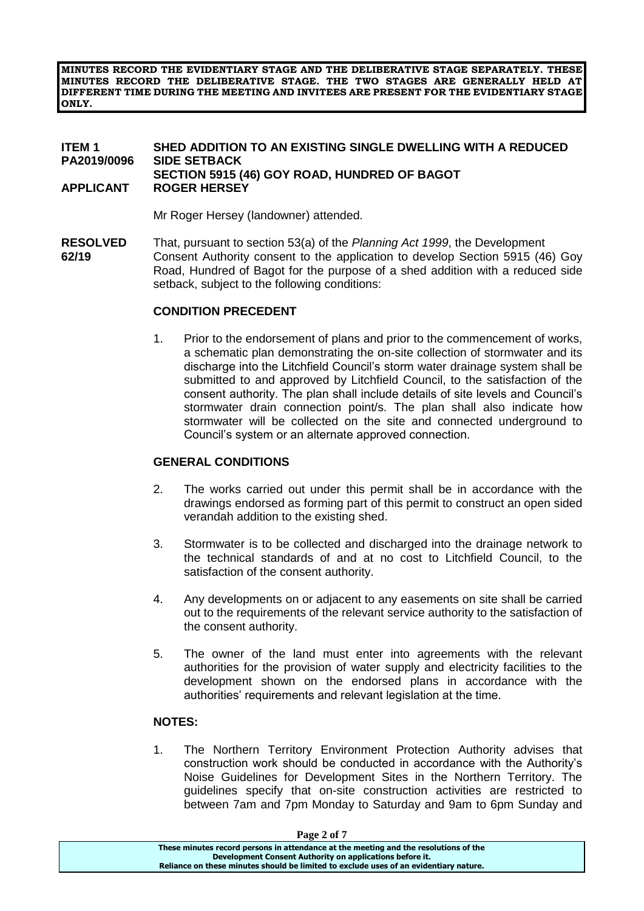**MINUTES RECORD THE EVIDENTIARY STAGE AND THE DELIBERATIVE STAGE SEPARATELY. THESE MINUTES RECORD THE DELIBERATIVE STAGE. THE TWO STAGES ARE GENERALLY HELD AT DIFFERENT TIME DURING THE MEETING AND INVITEES ARE PRESENT FOR THE EVIDENTIARY STAGE ONLY.**

#### **ITEM 1 SHED ADDITION TO AN EXISTING SINGLE DWELLING WITH A REDUCED PA2019/0096 SIDE SETBACK SECTION 5915 (46) GOY ROAD, HUNDRED OF BAGOT APPLICANT ROGER HERSEY**

Mr Roger Hersey (landowner) attended.

**RESOLVED** That, pursuant to section 53(a) of the *Planning Act 1999*, the Development **62/19** Consent Authority consent to the application to develop Section 5915 (46) Goy Road, Hundred of Bagot for the purpose of a shed addition with a reduced side setback, subject to the following conditions:

#### **CONDITION PRECEDENT**

1. Prior to the endorsement of plans and prior to the commencement of works, a schematic plan demonstrating the on-site collection of stormwater and its discharge into the Litchfield Council's storm water drainage system shall be submitted to and approved by Litchfield Council, to the satisfaction of the consent authority. The plan shall include details of site levels and Council's stormwater drain connection point/s. The plan shall also indicate how stormwater will be collected on the site and connected underground to Council's system or an alternate approved connection.

#### **GENERAL CONDITIONS**

- 2. The works carried out under this permit shall be in accordance with the drawings endorsed as forming part of this permit to construct an open sided verandah addition to the existing shed.
- 3. Stormwater is to be collected and discharged into the drainage network to the technical standards of and at no cost to Litchfield Council, to the satisfaction of the consent authority.
- 4. Any developments on or adjacent to any easements on site shall be carried out to the requirements of the relevant service authority to the satisfaction of the consent authority.
- 5. The owner of the land must enter into agreements with the relevant authorities for the provision of water supply and electricity facilities to the development shown on the endorsed plans in accordance with the authorities' requirements and relevant legislation at the time.

#### **NOTES:**

1. The Northern Territory Environment Protection Authority advises that construction work should be conducted in accordance with the Authority's Noise Guidelines for Development Sites in the Northern Territory. The guidelines specify that on-site construction activities are restricted to between 7am and 7pm Monday to Saturday and 9am to 6pm Sunday and

| Page 2 of 7                                                                           |  |
|---------------------------------------------------------------------------------------|--|
| These minutes record persons in attendance at the meeting and the resolutions of the  |  |
| Development Consent Authority on applications before it.                              |  |
| Reliance on these minutes should be limited to exclude uses of an evidentiary nature. |  |
|                                                                                       |  |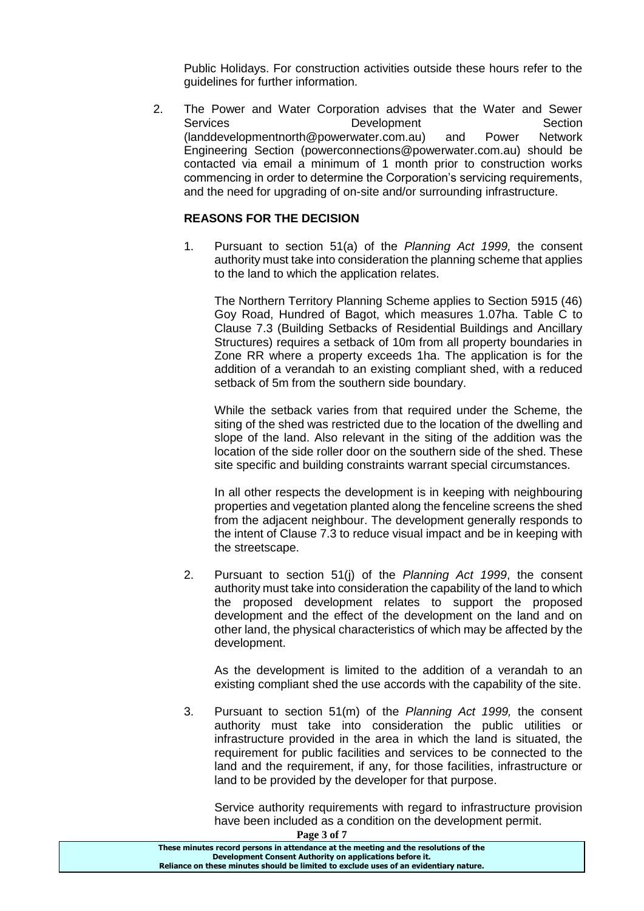Public Holidays. For construction activities outside these hours refer to the guidelines for further information.

2. The Power and Water Corporation advises that the Water and Sewer Services **Development** Development Section [\(landdevelopmentnorth@powerwater.com.au\)](mailto:landdevelopmentnorth@powerwater.com.au) and Power Network Engineering Section [\(powerconnections@powerwater.com.au\)](mailto:powerconnections@powerwater.com.au) should be contacted via email a minimum of 1 month prior to construction works commencing in order to determine the Corporation's servicing requirements, and the need for upgrading of on-site and/or surrounding infrastructure.

#### **REASONS FOR THE DECISION**

1. Pursuant to section 51(a) of the *Planning Act 1999,* the consent authority must take into consideration the planning scheme that applies to the land to which the application relates.

The Northern Territory Planning Scheme applies to Section 5915 (46) Goy Road, Hundred of Bagot, which measures 1.07ha. Table C to Clause 7.3 (Building Setbacks of Residential Buildings and Ancillary Structures) requires a setback of 10m from all property boundaries in Zone RR where a property exceeds 1ha. The application is for the addition of a verandah to an existing compliant shed, with a reduced setback of 5m from the southern side boundary.

While the setback varies from that required under the Scheme, the siting of the shed was restricted due to the location of the dwelling and slope of the land. Also relevant in the siting of the addition was the location of the side roller door on the southern side of the shed. These site specific and building constraints warrant special circumstances.

In all other respects the development is in keeping with neighbouring properties and vegetation planted along the fenceline screens the shed from the adjacent neighbour. The development generally responds to the intent of Clause 7.3 to reduce visual impact and be in keeping with the streetscape.

2. Pursuant to section 51(j) of the *Planning Act 1999*, the consent authority must take into consideration the capability of the land to which the proposed development relates to support the proposed development and the effect of the development on the land and on other land, the physical characteristics of which may be affected by the development.

As the development is limited to the addition of a verandah to an existing compliant shed the use accords with the capability of the site.

3. Pursuant to section 51(m) of the *Planning Act 1999,* the consent authority must take into consideration the public utilities or infrastructure provided in the area in which the land is situated, the requirement for public facilities and services to be connected to the land and the requirement, if any, for those facilities, infrastructure or land to be provided by the developer for that purpose.

Service authority requirements with regard to infrastructure provision have been included as a condition on the development permit.

**Page 3 of 7**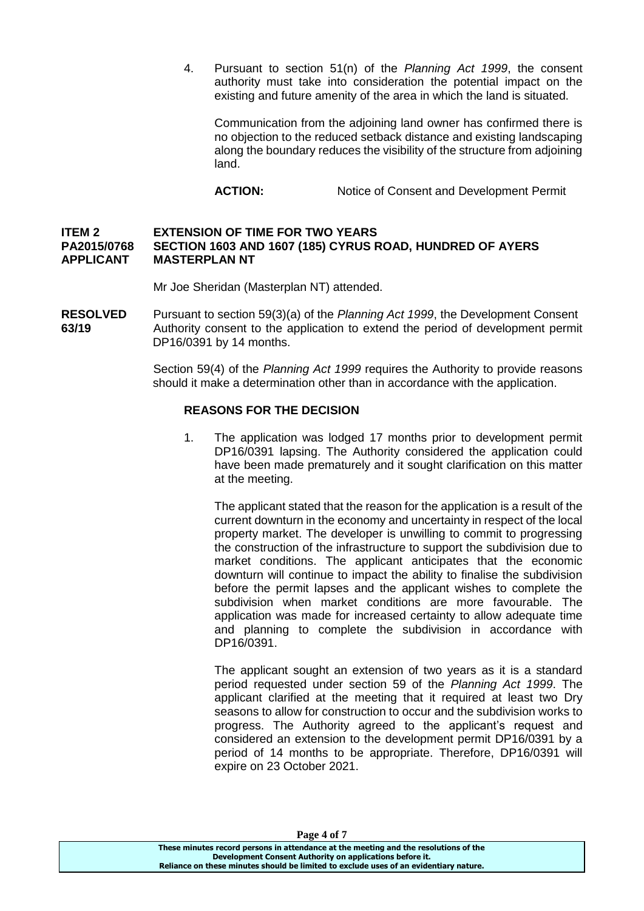4. Pursuant to section 51(n) of the *Planning Act 1999*, the consent authority must take into consideration the potential impact on the existing and future amenity of the area in which the land is situated.

Communication from the adjoining land owner has confirmed there is no objection to the reduced setback distance and existing landscaping along the boundary reduces the visibility of the structure from adjoining land.

ACTION: Notice of Consent and Development Permit

#### **ITEM 2 EXTENSION OF TIME FOR TWO YEARS PA2015/0768 SECTION 1603 AND 1607 (185) CYRUS ROAD, HUNDRED OF AYERS APPLICANT MASTERPLAN NT**

Mr Joe Sheridan (Masterplan NT) attended.

**RESOLVED** Pursuant to section 59(3)(a) of the *Planning Act 1999*, the Development Consent **63/19** Authority consent to the application to extend the period of development permit DP16/0391 by 14 months.

> Section 59(4) of the *Planning Act 1999* requires the Authority to provide reasons should it make a determination other than in accordance with the application.

#### **REASONS FOR THE DECISION**

1. The application was lodged 17 months prior to development permit DP16/0391 lapsing. The Authority considered the application could have been made prematurely and it sought clarification on this matter at the meeting.

The applicant stated that the reason for the application is a result of the current downturn in the economy and uncertainty in respect of the local property market. The developer is unwilling to commit to progressing the construction of the infrastructure to support the subdivision due to market conditions. The applicant anticipates that the economic downturn will continue to impact the ability to finalise the subdivision before the permit lapses and the applicant wishes to complete the subdivision when market conditions are more favourable. The application was made for increased certainty to allow adequate time and planning to complete the subdivision in accordance with DP16/0391.

The applicant sought an extension of two years as it is a standard period requested under section 59 of the *Planning Act 1999*. The applicant clarified at the meeting that it required at least two Dry seasons to allow for construction to occur and the subdivision works to progress. The Authority agreed to the applicant's request and considered an extension to the development permit DP16/0391 by a period of 14 months to be appropriate. Therefore, DP16/0391 will expire on 23 October 2021.

**Page 4 of 7**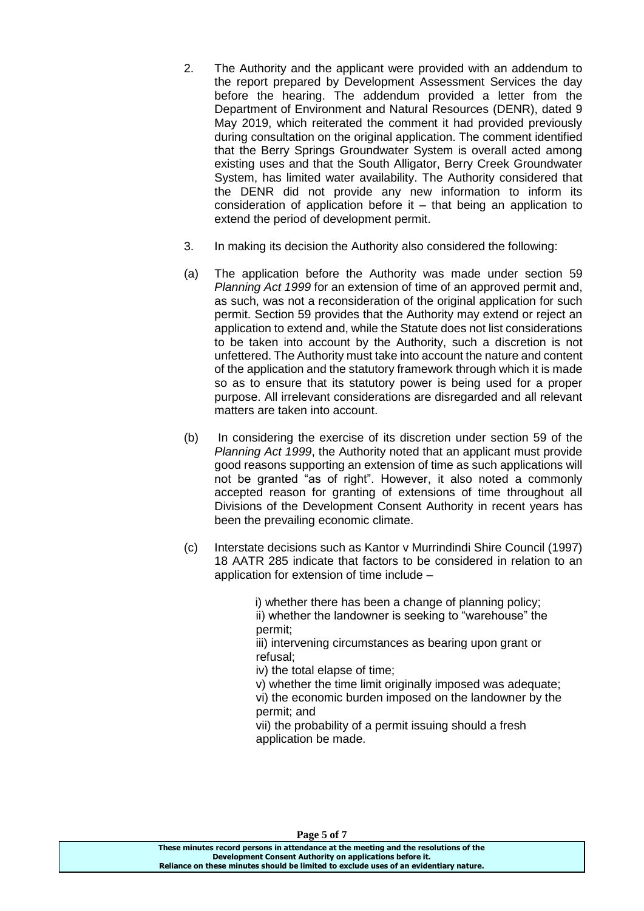- 2. The Authority and the applicant were provided with an addendum to the report prepared by Development Assessment Services the day before the hearing. The addendum provided a letter from the Department of Environment and Natural Resources (DENR), dated 9 May 2019, which reiterated the comment it had provided previously during consultation on the original application. The comment identified that the Berry Springs Groundwater System is overall acted among existing uses and that the South Alligator, Berry Creek Groundwater System, has limited water availability. The Authority considered that the DENR did not provide any new information to inform its consideration of application before it – that being an application to extend the period of development permit.
- 3. In making its decision the Authority also considered the following:
- (a) The application before the Authority was made under section 59 *Planning Act 1999* for an extension of time of an approved permit and, as such, was not a reconsideration of the original application for such permit. Section 59 provides that the Authority may extend or reject an application to extend and, while the Statute does not list considerations to be taken into account by the Authority, such a discretion is not unfettered. The Authority must take into account the nature and content of the application and the statutory framework through which it is made so as to ensure that its statutory power is being used for a proper purpose. All irrelevant considerations are disregarded and all relevant matters are taken into account.
- (b) In considering the exercise of its discretion under section 59 of the *Planning Act 1999*, the Authority noted that an applicant must provide good reasons supporting an extension of time as such applications will not be granted "as of right". However, it also noted a commonly accepted reason for granting of extensions of time throughout all Divisions of the Development Consent Authority in recent years has been the prevailing economic climate.
- (c) Interstate decisions such as Kantor v Murrindindi Shire Council (1997) 18 AATR 285 indicate that factors to be considered in relation to an application for extension of time include –

 i) whether there has been a change of planning policy; ii) whether the landowner is seeking to "warehouse" the permit;

iii) intervening circumstances as bearing upon grant or refusal;

iv) the total elapse of time;

v) whether the time limit originally imposed was adequate; vi) the economic burden imposed on the landowner by the permit; and

vii) the probability of a permit issuing should a fresh application be made.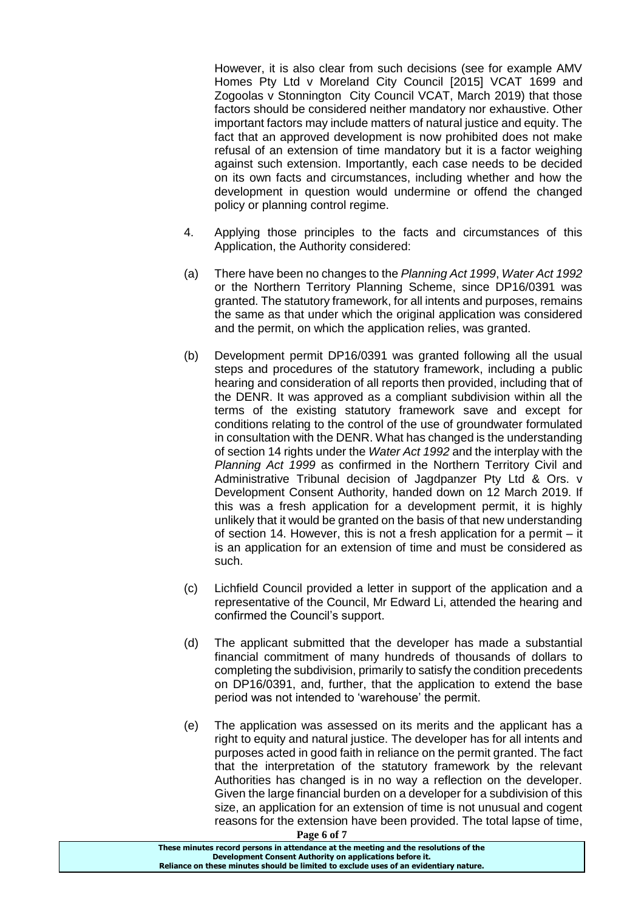However, it is also clear from such decisions (see for example AMV Homes Pty Ltd v Moreland City Council [2015] VCAT 1699 and Zogoolas v Stonnington City Council VCAT, March 2019) that those factors should be considered neither mandatory nor exhaustive. Other important factors may include matters of natural justice and equity. The fact that an approved development is now prohibited does not make refusal of an extension of time mandatory but it is a factor weighing against such extension. Importantly, each case needs to be decided on its own facts and circumstances, including whether and how the development in question would undermine or offend the changed policy or planning control regime.

- 4. Applying those principles to the facts and circumstances of this Application, the Authority considered:
- (a) There have been no changes to the *Planning Act 1999*, *Water Act 1992*  or the Northern Territory Planning Scheme, since DP16/0391 was granted. The statutory framework, for all intents and purposes, remains the same as that under which the original application was considered and the permit, on which the application relies, was granted.
- (b) Development permit DP16/0391 was granted following all the usual steps and procedures of the statutory framework, including a public hearing and consideration of all reports then provided, including that of the DENR. It was approved as a compliant subdivision within all the terms of the existing statutory framework save and except for conditions relating to the control of the use of groundwater formulated in consultation with the DENR. What has changed is the understanding of section 14 rights under the *Water Act 1992* and the interplay with the *Planning Act 1999* as confirmed in the Northern Territory Civil and Administrative Tribunal decision of Jagdpanzer Pty Ltd & Ors. v Development Consent Authority, handed down on 12 March 2019. If this was a fresh application for a development permit, it is highly unlikely that it would be granted on the basis of that new understanding of section 14. However, this is not a fresh application for a permit – it is an application for an extension of time and must be considered as such.
- (c) Lichfield Council provided a letter in support of the application and a representative of the Council, Mr Edward Li, attended the hearing and confirmed the Council's support.
- (d) The applicant submitted that the developer has made a substantial financial commitment of many hundreds of thousands of dollars to completing the subdivision, primarily to satisfy the condition precedents on DP16/0391, and, further, that the application to extend the base period was not intended to 'warehouse' the permit.
- (e) The application was assessed on its merits and the applicant has a right to equity and natural justice. The developer has for all intents and purposes acted in good faith in reliance on the permit granted. The fact that the interpretation of the statutory framework by the relevant Authorities has changed is in no way a reflection on the developer. Given the large financial burden on a developer for a subdivision of this size, an application for an extension of time is not unusual and cogent reasons for the extension have been provided. The total lapse of time,

**Page 6 of 7**